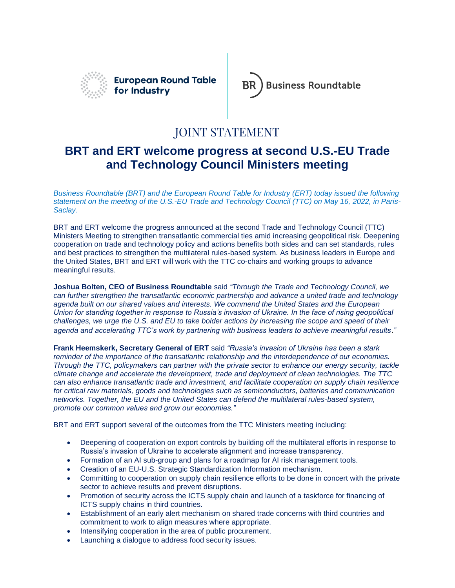

**European Round Table** for Industry



## JOINT STATEMENT

## **BRT and ERT welcome progress at second U.S.-EU Trade and Technology Council Ministers meeting**

*Business Roundtable (BRT) and the European Round Table for Industry (ERT) today issued the following statement on the meeting of the U.S.-EU Trade and Technology Council (TTC) on May 16, 2022, in Paris-Saclay.*

BRT and ERT welcome the progress announced at the second Trade and Technology Council (TTC) Ministers Meeting to strengthen transatlantic commercial ties amid increasing geopolitical risk. Deepening cooperation on trade and technology policy and actions benefits both sides and can set standards, rules and best practices to strengthen the multilateral rules-based system. As business leaders in Europe and the United States, BRT and ERT will work with the TTC co-chairs and working groups to advance meaningful results.

**Joshua Bolten, CEO of Business Roundtable** said *"Through the Trade and Technology Council, we can further strengthen the transatlantic economic partnership and advance a united trade and technology agenda built on our shared values and interests. We commend the United States and the European Union for standing together in response to Russia's invasion of Ukraine. In the face of rising geopolitical challenges, we urge the U.S. and EU to take bolder actions by increasing the scope and speed of their agenda and accelerating TTC's work by partnering with business leaders to achieve meaningful results*.*"*

**Frank Heemskerk, Secretary General of ERT** said *"Russia's invasion of Ukraine has been a stark reminder of the importance of the transatlantic relationship and the interdependence of our economies. Through the TTC, policymakers can partner with the private sector to enhance our energy security, tackle climate change and accelerate the development, trade and deployment of clean technologies. The TTC can also enhance transatlantic trade and investment, and facilitate cooperation on supply chain resilience for critical raw materials, goods and technologies such as semiconductors, batteries and communication networks. Together, the EU and the United States can defend the multilateral rules-based system, promote our common values and grow our economies."*

BRT and ERT support several of the outcomes from the TTC Ministers meeting including:

- Deepening of cooperation on export controls by building off the multilateral efforts in response to Russia's invasion of Ukraine to accelerate alignment and increase transparency.
- Formation of an AI sub-group and plans for a roadmap for AI risk management tools.
- Creation of an EU-U.S. Strategic Standardization Information mechanism.
- Committing to cooperation on supply chain resilience efforts to be done in concert with the private sector to achieve results and prevent disruptions.
- Promotion of security across the ICTS supply chain and launch of a taskforce for financing of ICTS supply chains in third countries.
- Establishment of an early alert mechanism on shared trade concerns with third countries and commitment to work to align measures where appropriate.
- Intensifying cooperation in the area of public procurement.
- Launching a dialogue to address food security issues.